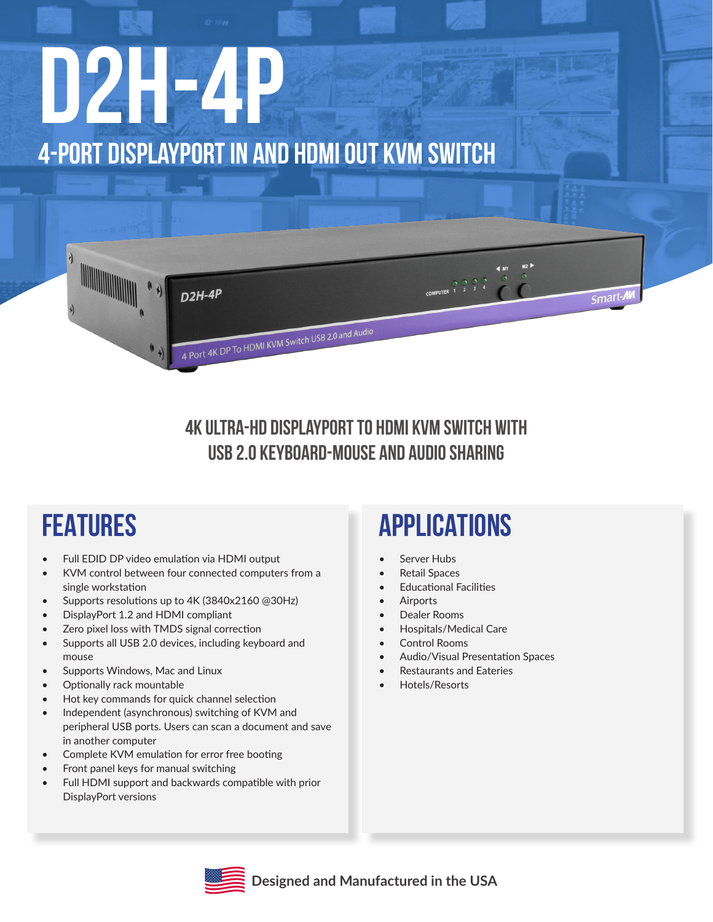# **D2H-4P 4-Port DisplayPort IN and HDMI Out KVM Switch**



### **4K Ultra-HD DisplayPort to HDMI KVM switch with USB 2.0 keyboard-mouse and audio sharing**

### **FEATURES**

- • Full EDID DP video emulation via HDMI output
- • KVM control between four connected computers from a single workstation
- Supports resolutions up to 4K (3840x2160 @30Hz)
- DisplayPort 1.2 and HDMI compliant
- Zero pixel loss with TMDS signal correction
- Supports all USB 2.0 devices, including keyboard and mouse
- Supports Windows, Mac and Linux
- Optionally rack mountable
- Hot key commands for quick channel selection
- Independent (asynchronous) switching of KVM and peripheral USB ports. Users can scan a document and save in another computer
- Complete KVM emulation for error free booting
- Front panel keys for manual switching
- Full HDMI support and backwards compatible with prior DisplayPort versions

### **APPLICATIONS**

- Server Hubs
- Retail Spaces
	- **Educational Facilities**
	- **Airports**
	- Dealer Rooms
	- Hospitals/Medical Care
	- Control Rooms
	- Audio/Visual Presentation Spaces
	- **Restaurants and Eateries**
- Hotels/Resorts

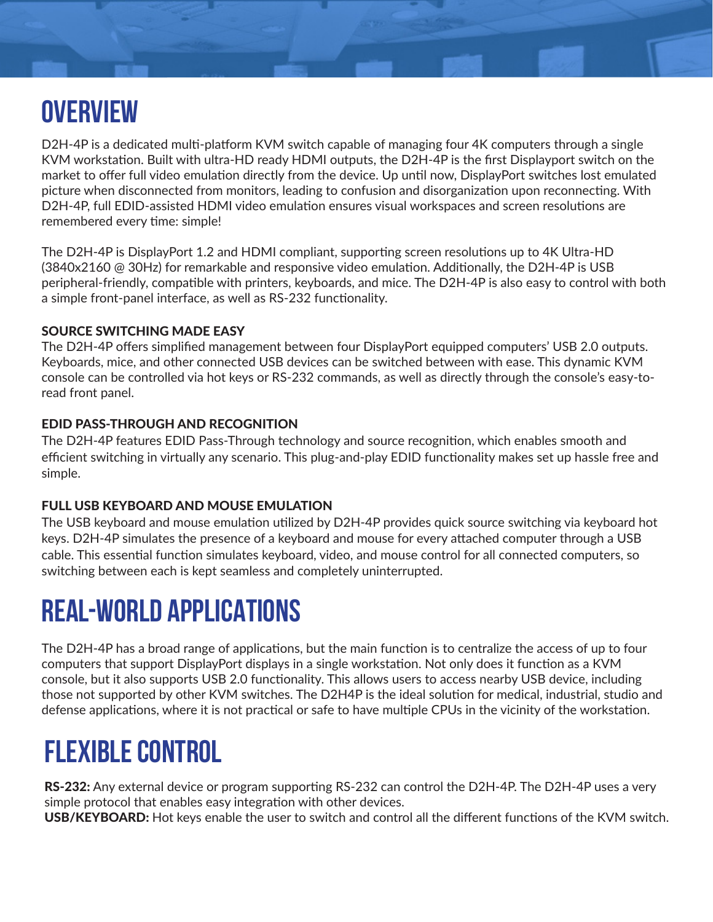## **OVERVIEW**

D2H-4P is a dedicated multi-platform KVM switch capable of managing four 4K computers through a single KVM workstation. Built with ultra-HD ready HDMI outputs, the D2H-4P is the first Displayport switch on the market to offer full video emulation directly from the device. Up until now, DisplayPort switches lost emulated picture when disconnected from monitors, leading to confusion and disorganization upon reconnecting. With D2H-4P, full EDID-assisted HDMI video emulation ensures visual workspaces and screen resolutions are remembered every time: simple!

The D2H-4P is DisplayPort 1.2 and HDMI compliant, supporting screen resolutions up to 4K Ultra-HD (3840x2160 @ 30Hz) for remarkable and responsive video emulation. Additionally, the D2H-4P is USB peripheral-friendly, compatible with printers, keyboards, and mice. The D2H-4P is also easy to control with both a simple front-panel interface, as well as RS-232 functionality.

#### SOURCE SWITCHING MADE EASY

The D2H-4P offers simplified management between four DisplayPort equipped computers' USB 2.0 outputs. Keyboards, mice, and other connected USB devices can be switched between with ease. This dynamic KVM console can be controlled via hot keys or RS-232 commands, as well as directly through the console's easy-toread front panel.

#### EDID PASS-THROUGH AND RECOGNITION

The D2H-4P features EDID Pass-Through technology and source recognition, which enables smooth and efficient switching in virtually any scenario. This plug-and-play EDID functionality makes set up hassle free and simple.

#### FULL USB KEYBOARD AND MOUSE EMULATION

The USB keyboard and mouse emulation utilized by D2H-4P provides quick source switching via keyboard hot keys. D2H-4P simulates the presence of a keyboard and mouse for every attached computer through a USB cable. This essential function simulates keyboard, video, and mouse control for all connected computers, so switching between each is kept seamless and completely uninterrupted.

### **REAL-WORLD APPLICATIONS**

The D2H-4P has a broad range of applications, but the main function is to centralize the access of up to four computers that support DisplayPort displays in a single workstation. Not only does it function as a KVM console, but it also supports USB 2.0 functionality. This allows users to access nearby USB device, including those not supported by other KVM switches. The D2H4P is the ideal solution for medical, industrial, studio and defense applications, where it is not practical or safe to have multiple CPUs in the vicinity of the workstation.

### **FLEXIBLE CONTROL**

RS-232: Any external device or program supporting RS-232 can control the D2H-4P. The D2H-4P uses a very simple protocol that enables easy integration with other devices.

USB/KEYBOARD: Hot keys enable the user to switch and control all the different functions of the KVM switch.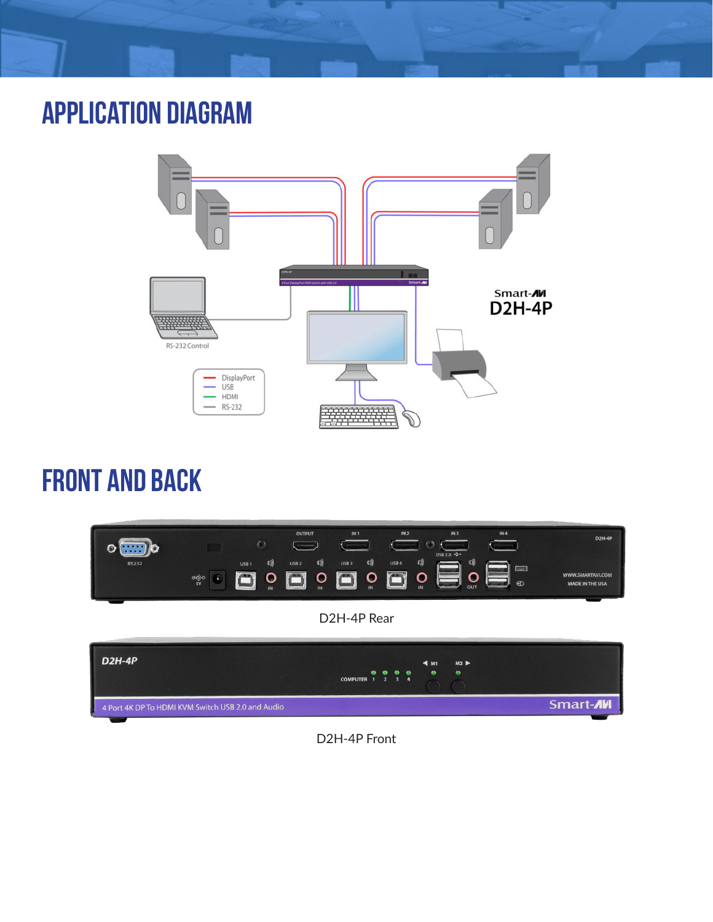### **application diagram**



### **front and back**



D2H-4P Front